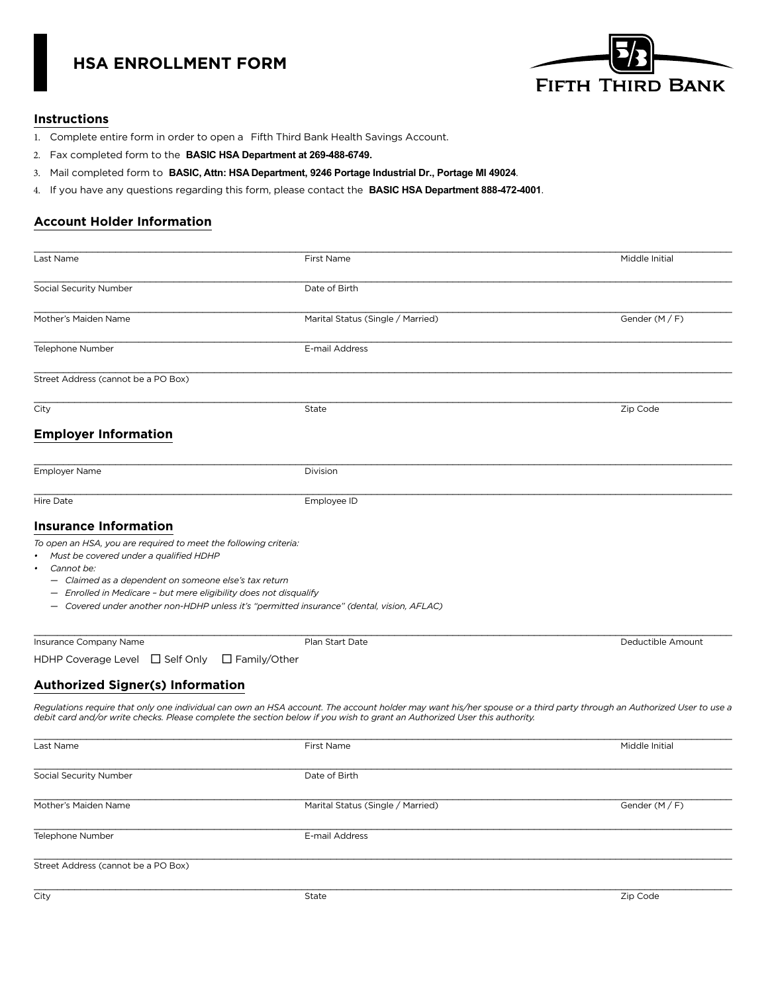# **HSA ENROLLMENT FORM**



### **Instructions**

- 1. Complete entire form in order to open a Fifth Third Bank Health Savings Account.
- 2. Fax completed form to the **BASIC HSA Department at 269-488-6749.**
- 3. Mail completed form to **BASIC, Attn: HSA Department, 9246 Portage Industrial Dr., Portage MI 49024**.
- 4. If you have any questions regarding this form, please contact the **BASIC HSA Department 888-472-4001**.

# **Account Holder Information**

| Last Name                                                                                                                                                                                                                                                             | First Name                                                                                                                                                                                                                                                                                        | Middle Initial    |
|-----------------------------------------------------------------------------------------------------------------------------------------------------------------------------------------------------------------------------------------------------------------------|---------------------------------------------------------------------------------------------------------------------------------------------------------------------------------------------------------------------------------------------------------------------------------------------------|-------------------|
| Social Security Number                                                                                                                                                                                                                                                | Date of Birth                                                                                                                                                                                                                                                                                     |                   |
| Mother's Maiden Name                                                                                                                                                                                                                                                  | Marital Status (Single / Married)                                                                                                                                                                                                                                                                 | Gender $(M/F)$    |
| Telephone Number                                                                                                                                                                                                                                                      | E-mail Address                                                                                                                                                                                                                                                                                    |                   |
| Street Address (cannot be a PO Box)                                                                                                                                                                                                                                   |                                                                                                                                                                                                                                                                                                   |                   |
| City                                                                                                                                                                                                                                                                  | State                                                                                                                                                                                                                                                                                             | Zip Code          |
| <b>Employer Information</b>                                                                                                                                                                                                                                           |                                                                                                                                                                                                                                                                                                   |                   |
| <b>Employer Name</b>                                                                                                                                                                                                                                                  | Division                                                                                                                                                                                                                                                                                          |                   |
| <b>Hire Date</b>                                                                                                                                                                                                                                                      | Employee ID                                                                                                                                                                                                                                                                                       |                   |
| <b>Insurance Information</b>                                                                                                                                                                                                                                          |                                                                                                                                                                                                                                                                                                   |                   |
| To open an HSA, you are required to meet the following criteria:<br>• Must be covered under a qualified HDHP<br>Cannot be:<br>$\bullet$<br>- Claimed as a dependent on someone else's tax return<br>- Enrolled in Medicare - but mere eligibility does not disqualify | - Covered under another non-HDHP unless it's "permitted insurance" (dental, vision, AFLAC)                                                                                                                                                                                                        |                   |
| Insurance Company Name                                                                                                                                                                                                                                                | Plan Start Date                                                                                                                                                                                                                                                                                   | Deductible Amount |
| HDHP Coverage Level □ Self Only                                                                                                                                                                                                                                       | $\Box$ Family/Other                                                                                                                                                                                                                                                                               |                   |
| <b>Authorized Signer(s) Information</b>                                                                                                                                                                                                                               |                                                                                                                                                                                                                                                                                                   |                   |
|                                                                                                                                                                                                                                                                       | Regulations require that only one individual can own an HSA account. The account holder may want his/her spouse or a third party through an Authorized User to use a<br>debit card and/or write checks. Please complete the section below if you wish to grant an Authorized User this authority. |                   |
| Last Name                                                                                                                                                                                                                                                             | First Name                                                                                                                                                                                                                                                                                        | Middle Initial    |
| Social Security Number                                                                                                                                                                                                                                                | Date of Birth                                                                                                                                                                                                                                                                                     |                   |
| Mother's Maiden Name                                                                                                                                                                                                                                                  | Marital Status (Single / Married)                                                                                                                                                                                                                                                                 | Gender $(M/F)$    |
| Telephone Number                                                                                                                                                                                                                                                      | E-mail Address                                                                                                                                                                                                                                                                                    |                   |
| Street Address (cannot be a PO Box)                                                                                                                                                                                                                                   |                                                                                                                                                                                                                                                                                                   |                   |
| City                                                                                                                                                                                                                                                                  | State                                                                                                                                                                                                                                                                                             | Zip Code          |
|                                                                                                                                                                                                                                                                       |                                                                                                                                                                                                                                                                                                   |                   |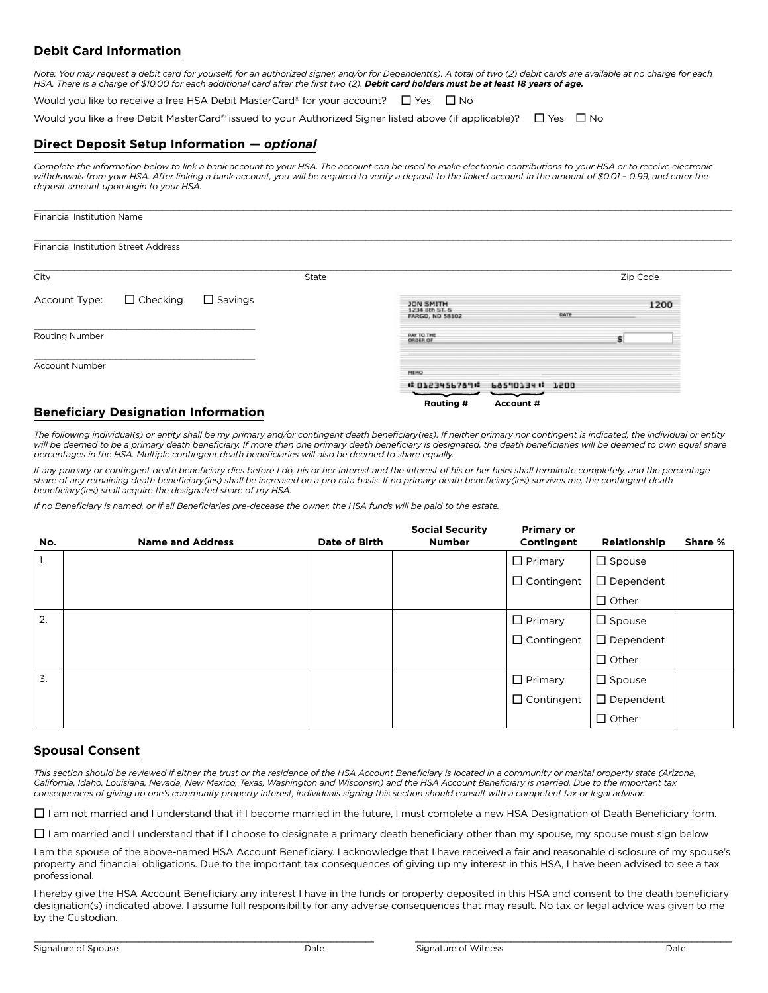# **Debit Card Information**

Note: You may request a debit card for yourself, for an authorized signer, and/or for Dependent(s). A total of two (2) debit cards are available at no charge for each<br>HSA. There is a charge of \$10.00 for each additional ca

Would you like to receive a free HSA Debit MasterCard® for your account?  $\Box$  Yes  $\Box$  No

Would you like a free Debit MasterCard® issued to your Authorized Signer listed above (if applicable)?  $\Box$  Yes  $\Box$  No

### **Direct Deposit Setup Information —** *optional*

*Complete the information below to link a bank account to your HSA. The account can be used to make electronic contributions to your HSA or to receive electronic*  withdrawals from your HSA. After linking a bank account, you will be required to verify a deposit to the linked account in the amount of \$0.01 - 0.99, and enter the *deposit amount upon login to your HSA.* 

| <b>Financial Institution Name</b>           |                 |                |       |                                                       |      |          |
|---------------------------------------------|-----------------|----------------|-------|-------------------------------------------------------|------|----------|
| <b>Financial Institution Street Address</b> |                 |                |       |                                                       |      |          |
| City                                        |                 |                | State |                                                       |      | Zip Code |
| Account Type:                               | $\Box$ Checking | $\Box$ Savings |       | <b>JON SMITH</b><br>1234 8th ST. S<br>FARGO, ND 58102 | DATE | 1200     |
| Routing Number                              |                 |                |       | <b>PAY TO THE</b><br><b>ORDER OF</b>                  |      |          |
| <b>Account Number</b>                       |                 |                |       | <b>MEMO</b><br># 0123456789# 68590134# 1200<br>سب سب  |      |          |

# **Beneficiary Designation Information**

*The following individual(s) or entity shall be my primary and/or contingent death beneficiary(ies). If neither primary nor contingent is indicated, the individual or entity*  will be deemed to be a primary death beneficiary. If more than one primary death beneficiary is designated, the death beneficiaries will be deemed to own equal share *percentages in the HSA. Multiple contingent death beneficiaries will also be deemed to share equally.* 

**Routing # Account #**

*If any primary or contingent death beneficiary dies before I do, his or her interest and the interest of his or her heirs shall terminate completely, and the percentage share of any remaining death beneficiary(ies) shall be increased on a pro rata basis. If no primary death beneficiary(ies) survives me, the contingent death beneficiary(ies) shall acquire the designated share of my HSA.*

*If no Beneficiary is named, or if all Beneficiaries pre-decease the owner, the HSA funds will be paid to the estate.*

| No.              | <b>Name and Address</b> | Date of Birth | <b>Social Security</b><br><b>Number</b> | <b>Primary or</b><br>Contingent | Relationship     | Share % |
|------------------|-------------------------|---------------|-----------------------------------------|---------------------------------|------------------|---------|
| 1.               |                         |               |                                         | $\Box$ Primary                  | $\square$ Spouse |         |
|                  |                         |               |                                         | $\Box$ Contingent               | $\Box$ Dependent |         |
|                  |                         |               |                                         |                                 | $\Box$ Other     |         |
| 2.               |                         |               |                                         | $\Box$ Primary                  | $\Box$ Spouse    |         |
|                  |                         |               |                                         | $\Box$ Contingent               | $\Box$ Dependent |         |
|                  |                         |               |                                         |                                 | $\Box$ Other     |         |
| $\overline{3}$ . |                         |               |                                         | $\Box$ Primary                  | $\Box$ Spouse    |         |
|                  |                         |               |                                         | $\Box$ Contingent               | $\Box$ Dependent |         |
|                  |                         |               |                                         |                                 | $\Box$ Other     |         |

### **Spousal Consent**

*This section should be reviewed if either the trust or the residence of the HSA Account Beneficiary is located in a community or marital property state (Arizona, California, Idaho, Louisiana, Nevada, New Mexico, Texas, Washington and Wisconsin) and the HSA Account Beneficiary is married. Due to the important tax consequences of giving up one's community property interest, individuals signing this section should consult with a competent tax or legal advisor.*

I am not married and I understand that if I become married in the future, I must complete a new HSA Designation of Death Beneficiary form.

 $\Box$  I am married and I understand that if I choose to designate a primary death beneficiary other than my spouse, my spouse must sign below

I am the spouse of the above-named HSA Account Beneficiary. I acknowledge that I have received a fair and reasonable disclosure of my spouse's property and financial obligations. Due to the important tax consequences of giving up my interest in this HSA, I have been advised to see a tax professional.

I hereby give the HSA Account Beneficiary any interest I have in the funds or property deposited in this HSA and consent to the death beneficiary designation(s) indicated above. I assume full responsibility for any adverse consequences that may result. No tax or legal advice was given to me by the Custodian.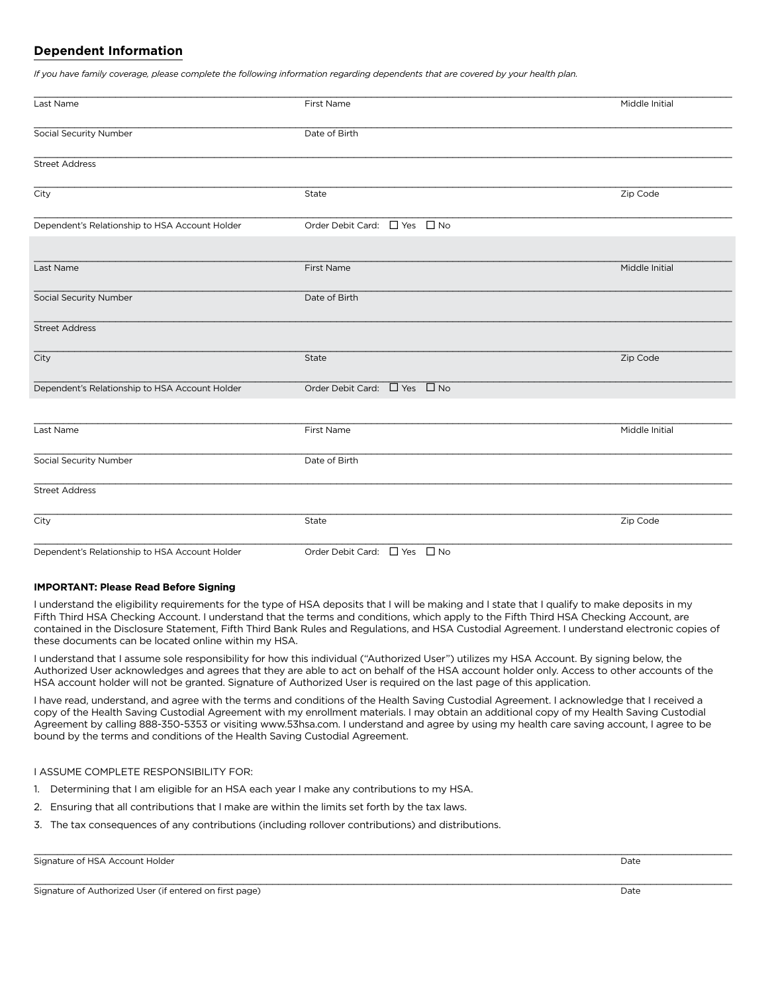### **Dependent Information**

*If you have family coverage, please complete the following information regarding dependents that are covered by your health plan.* 

| Last Name                                      | First Name                   | Middle Initial |  |
|------------------------------------------------|------------------------------|----------------|--|
| Social Security Number                         | Date of Birth                |                |  |
| <b>Street Address</b>                          |                              |                |  |
| City                                           | State                        | Zip Code       |  |
| Dependent's Relationship to HSA Account Holder | Order Debit Card: □ Yes □ No |                |  |
| Last Name                                      | First Name                   | Middle Initial |  |
| <b>Social Security Number</b>                  | Date of Birth                |                |  |
| <b>Street Address</b>                          |                              |                |  |
| City                                           | State                        | Zip Code       |  |
| Dependent's Relationship to HSA Account Holder | Order Debit Card: □ Yes □ No |                |  |
| Last Name                                      | First Name                   | Middle Initial |  |
| Social Security Number                         | Date of Birth                |                |  |
| <b>Street Address</b>                          |                              |                |  |
| City                                           | State                        | Zip Code       |  |
| Dependent's Relationship to HSA Account Holder | Order Debit Card: □ Yes □ No |                |  |

#### **IMPORTANT: Please Read Before Signing**

I understand the eligibility requirements for the type of HSA deposits that I will be making and I state that I qualify to make deposits in my Fifth Third HSA Checking Account. I understand that the terms and conditions, which apply to the Fifth Third HSA Checking Account, are contained in the Disclosure Statement, Fifth Third Bank Rules and Regulations, and HSA Custodial Agreement. I understand electronic copies of these documents can be located online within my HSA.

I understand that I assume sole responsibility for how this individual ("Authorized User") utilizes my HSA Account. By signing below, the Authorized User acknowledges and agrees that they are able to act on behalf of the HSA account holder only. Access to other accounts of the HSA account holder will not be granted. Signature of Authorized User is required on the last page of this application.

I have read, understand, and agree with the terms and conditions of the Health Saving Custodial Agreement. I acknowledge that I received a copy of the Health Saving Custodial Agreement with my enrollment materials. I may obtain an additional copy of my Health Saving Custodial Agreement by calling 888-350-5353 or visiting www.53hsa.com. I understand and agree by using my health care saving account, I agree to be bound by the terms and conditions of the Health Saving Custodial Agreement.

#### I ASSUME COMPLETE RESPONSIBILITY FOR:

- 1. Determining that I am eligible for an HSA each year I make any contributions to my HSA.
- 2. Ensuring that all contributions that I make are within the limits set forth by the tax laws.
- 3. The tax consequences of any contributions (including rollover contributions) and distributions.

Signature of HSA Account Holder **Date** Date of HSA Account Holder

Signature of Authorized User (if entered on first page) Date